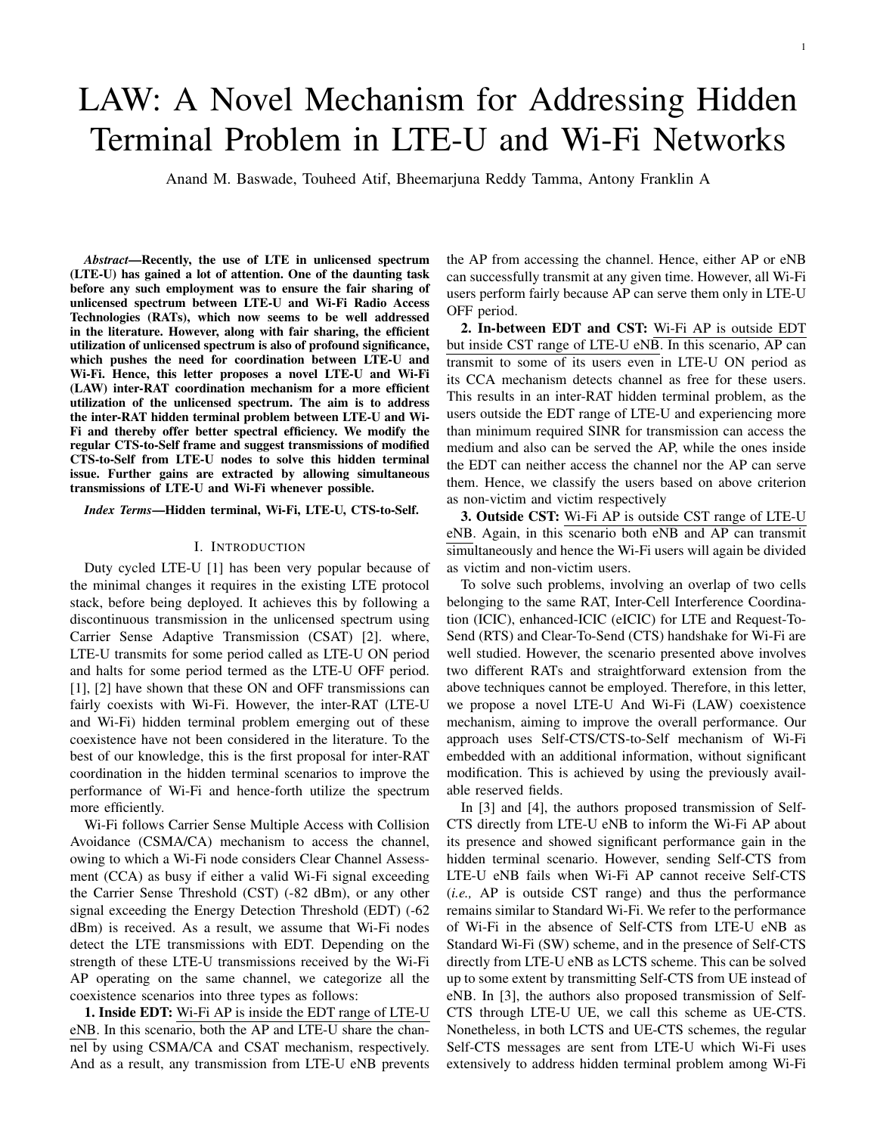# LAW: A Novel Mechanism for Addressing Hidden Terminal Problem in LTE-U and Wi-Fi Networks

Anand M. Baswade, Touheed Atif, Bheemarjuna Reddy Tamma, Antony Franklin A

*Abstract*—Recently, the use of LTE in unlicensed spectrum (LTE-U) has gained a lot of attention. One of the daunting task before any such employment was to ensure the fair sharing of unlicensed spectrum between LTE-U and Wi-Fi Radio Access Technologies (RATs), which now seems to be well addressed in the literature. However, along with fair sharing, the efficient utilization of unlicensed spectrum is also of profound significance, which pushes the need for coordination between LTE-U and Wi-Fi. Hence, this letter proposes a novel LTE-U and Wi-Fi (LAW) inter-RAT coordination mechanism for a more efficient utilization of the unlicensed spectrum. The aim is to address the inter-RAT hidden terminal problem between LTE-U and Wi-Fi and thereby offer better spectral efficiency. We modify the regular CTS-to-Self frame and suggest transmissions of modified CTS-to-Self from LTE-U nodes to solve this hidden terminal issue. Further gains are extracted by allowing simultaneous transmissions of LTE-U and Wi-Fi whenever possible.

*Index Terms*—Hidden terminal, Wi-Fi, LTE-U, CTS-to-Self.

#### I. INTRODUCTION

Duty cycled LTE-U [1] has been very popular because of the minimal changes it requires in the existing LTE protocol stack, before being deployed. It achieves this by following a discontinuous transmission in the unlicensed spectrum using Carrier Sense Adaptive Transmission (CSAT) [2]. where, LTE-U transmits for some period called as LTE-U ON period and halts for some period termed as the LTE-U OFF period. [1], [2] have shown that these ON and OFF transmissions can fairly coexists with Wi-Fi. However, the inter-RAT (LTE-U and Wi-Fi) hidden terminal problem emerging out of these coexistence have not been considered in the literature. To the best of our knowledge, this is the first proposal for inter-RAT coordination in the hidden terminal scenarios to improve the performance of Wi-Fi and hence-forth utilize the spectrum more efficiently.

Wi-Fi follows Carrier Sense Multiple Access with Collision Avoidance (CSMA/CA) mechanism to access the channel, owing to which a Wi-Fi node considers Clear Channel Assessment (CCA) as busy if either a valid Wi-Fi signal exceeding the Carrier Sense Threshold (CST) (-82 dBm), or any other signal exceeding the Energy Detection Threshold (EDT) (-62 dBm) is received. As a result, we assume that Wi-Fi nodes detect the LTE transmissions with EDT. Depending on the strength of these LTE-U transmissions received by the Wi-Fi AP operating on the same channel, we categorize all the coexistence scenarios into three types as follows:

1. Inside EDT: Wi-Fi AP is inside the EDT range of LTE-U eNB. In this scenario, both the AP and LTE-U share the channel by using CSMA/CA and CSAT mechanism, respectively. And as a result, any transmission from LTE-U eNB prevents the AP from accessing the channel. Hence, either AP or eNB can successfully transmit at any given time. However, all Wi-Fi users perform fairly because AP can serve them only in LTE-U OFF period.

2. In-between EDT and CST: Wi-Fi AP is outside EDT but inside CST range of LTE-U eNB. In this scenario, AP can transmit to some of its users even in LTE-U ON period as its CCA mechanism detects channel as free for these users. This results in an inter-RAT hidden terminal problem, as the users outside the EDT range of LTE-U and experiencing more than minimum required SINR for transmission can access the medium and also can be served the AP, while the ones inside the EDT can neither access the channel nor the AP can serve them. Hence, we classify the users based on above criterion as non-victim and victim respectively

3. Outside CST: Wi-Fi AP is outside CST range of LTE-U eNB. Again, in this scenario both eNB and AP can transmit simultaneously and hence the Wi-Fi users will again be divided as victim and non-victim users.

To solve such problems, involving an overlap of two cells belonging to the same RAT, Inter-Cell Interference Coordination (ICIC), enhanced-ICIC (eICIC) for LTE and Request-To-Send (RTS) and Clear-To-Send (CTS) handshake for Wi-Fi are well studied. However, the scenario presented above involves two different RATs and straightforward extension from the above techniques cannot be employed. Therefore, in this letter, we propose a novel LTE-U And Wi-Fi (LAW) coexistence mechanism, aiming to improve the overall performance. Our approach uses Self-CTS/CTS-to-Self mechanism of Wi-Fi embedded with an additional information, without significant modification. This is achieved by using the previously available reserved fields.

In [3] and [4], the authors proposed transmission of Self-CTS directly from LTE-U eNB to inform the Wi-Fi AP about its presence and showed significant performance gain in the hidden terminal scenario. However, sending Self-CTS from LTE-U eNB fails when Wi-Fi AP cannot receive Self-CTS (*i.e.,* AP is outside CST range) and thus the performance remains similar to Standard Wi-Fi. We refer to the performance of Wi-Fi in the absence of Self-CTS from LTE-U eNB as Standard Wi-Fi (SW) scheme, and in the presence of Self-CTS directly from LTE-U eNB as LCTS scheme. This can be solved up to some extent by transmitting Self-CTS from UE instead of eNB. In [3], the authors also proposed transmission of Self-CTS through LTE-U UE, we call this scheme as UE-CTS. Nonetheless, in both LCTS and UE-CTS schemes, the regular Self-CTS messages are sent from LTE-U which Wi-Fi uses extensively to address hidden terminal problem among Wi-Fi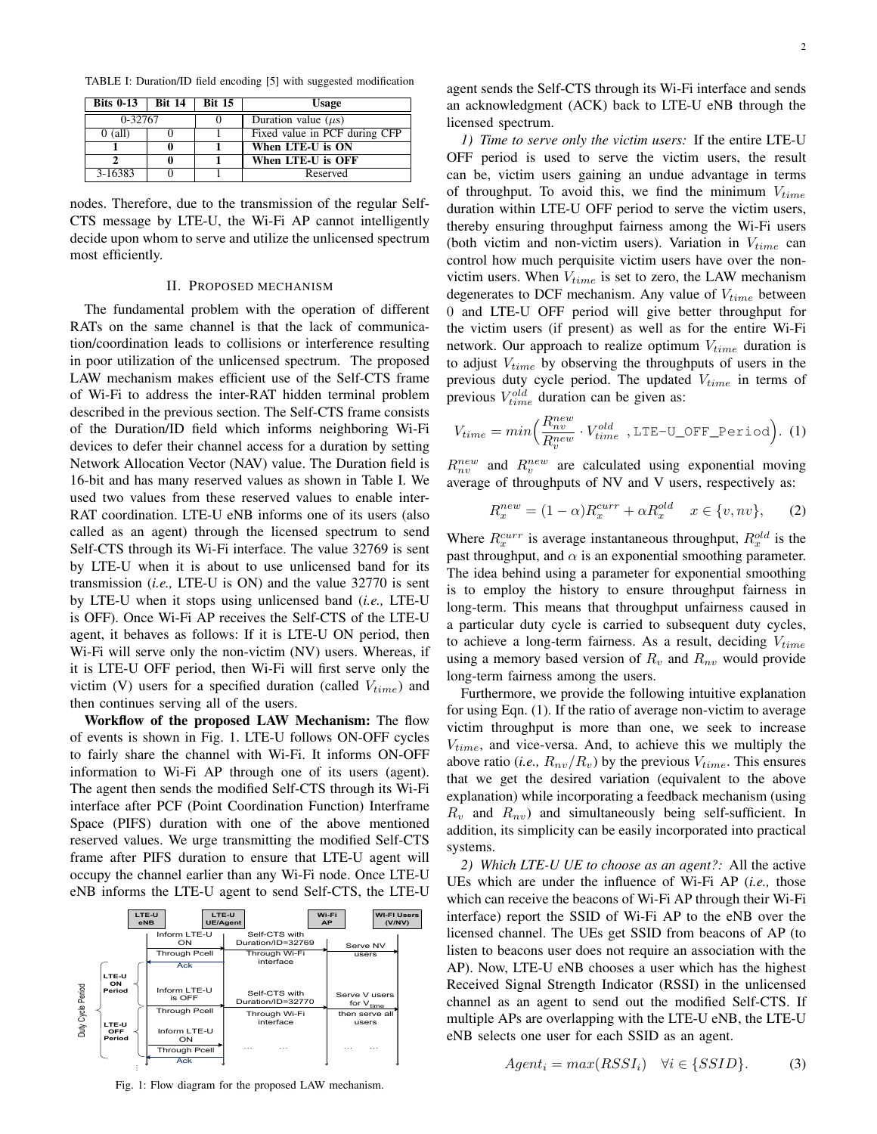TABLE I: Duration/ID field encoding [5] with suggested modification

| Bits 0-13   Bit 14 |  | <b>Bit 15</b> | Usage                         |  |
|--------------------|--|---------------|-------------------------------|--|
| 0-32767            |  |               | Duration value $(\mu s)$      |  |
| $0$ (all)          |  |               | Fixed value in PCF during CFP |  |
|                    |  |               | When LTE-U is ON              |  |
|                    |  |               | When LTE-U is OFF             |  |
| 3-16383            |  |               | Reserved                      |  |

nodes. Therefore, due to the transmission of the regular Self-CTS message by LTE-U, the Wi-Fi AP cannot intelligently decide upon whom to serve and utilize the unlicensed spectrum most efficiently.

#### II. PROPOSED MECHANISM

The fundamental problem with the operation of different RATs on the same channel is that the lack of communication/coordination leads to collisions or interference resulting in poor utilization of the unlicensed spectrum. The proposed LAW mechanism makes efficient use of the Self-CTS frame of Wi-Fi to address the inter-RAT hidden terminal problem described in the previous section. The Self-CTS frame consists of the Duration/ID field which informs neighboring Wi-Fi devices to defer their channel access for a duration by setting Network Allocation Vector (NAV) value. The Duration field is 16-bit and has many reserved values as shown in Table I. We used two values from these reserved values to enable inter-RAT coordination. LTE-U eNB informs one of its users (also called as an agent) through the licensed spectrum to send Self-CTS through its Wi-Fi interface. The value 32769 is sent by LTE-U when it is about to use unlicensed band for its transmission (*i.e.,* LTE-U is ON) and the value 32770 is sent by LTE-U when it stops using unlicensed band (*i.e.,* LTE-U is OFF). Once Wi-Fi AP receives the Self-CTS of the LTE-U agent, it behaves as follows: If it is LTE-U ON period, then Wi-Fi will serve only the non-victim (NV) users. Whereas, if it is LTE-U OFF period, then Wi-Fi will first serve only the victim (V) users for a specified duration (called  $V_{time}$ ) and then continues serving all of the users.

Workflow of the proposed LAW Mechanism: The flow of events is shown in Fig. 1. LTE-U follows ON-OFF cycles to fairly share the channel with Wi-Fi. It informs ON-OFF information to Wi-Fi AP through one of its users (agent). The agent then sends the modified Self-CTS through its Wi-Fi interface after PCF (Point Coordination Function) Interframe Space (PIFS) duration with one of the above mentioned reserved values. We urge transmitting the modified Self-CTS frame after PIFS duration to ensure that LTE-U agent will occupy the channel earlier than any Wi-Fi node. Once LTE-U eNB informs the LTE-U agent to send Self-CTS, the LTE-U



Fig. 1: Flow diagram for the proposed LAW mechanism.

agent sends the Self-CTS through its Wi-Fi interface and sends an acknowledgment (ACK) back to LTE-U eNB through the licensed spectrum.

*1) Time to serve only the victim users:* If the entire LTE-U OFF period is used to serve the victim users, the result can be, victim users gaining an undue advantage in terms of throughput. To avoid this, we find the minimum  $V_{time}$ duration within LTE-U OFF period to serve the victim users, thereby ensuring throughput fairness among the Wi-Fi users (both victim and non-victim users). Variation in  $V_{time}$  can control how much perquisite victim users have over the nonvictim users. When  $V_{time}$  is set to zero, the LAW mechanism degenerates to DCF mechanism. Any value of  $V_{time}$  between 0 and LTE-U OFF period will give better throughput for the victim users (if present) as well as for the entire Wi-Fi network. Our approach to realize optimum  $V_{time}$  duration is to adjust  $V_{time}$  by observing the throughputs of users in the previous duty cycle period. The updated  $V_{time}$  in terms of previous  $V_{time}^{old}$  duration can be given as:

$$
V_{time} = min \left( \frac{R_{nv}^{new}}{R_{v}^{new}} \cdot V_{time}^{old} \right), \text{LTE-U_OFF\_Period} \right). (1)
$$

 $R_{nv}^{new}$  and  $R_{v}^{new}$  are calculated using exponential moving average of throughputs of NV and V users, respectively as:

$$
R_x^{new} = (1 - \alpha)R_x^{curr} + \alpha R_x^{old} \quad x \in \{v, nv\},\qquad(2)
$$

Where  $R_x^{curr}$  is average instantaneous throughput,  $R_x^{old}$  is the past throughput, and  $\alpha$  is an exponential smoothing parameter. The idea behind using a parameter for exponential smoothing is to employ the history to ensure throughput fairness in long-term. This means that throughput unfairness caused in a particular duty cycle is carried to subsequent duty cycles, to achieve a long-term fairness. As a result, deciding  $V_{time}$ using a memory based version of  $R_v$  and  $R_{nv}$  would provide long-term fairness among the users.

Furthermore, we provide the following intuitive explanation for using Eqn. (1). If the ratio of average non-victim to average victim throughput is more than one, we seek to increase  $V_{time}$ , and vice-versa. And, to achieve this we multiply the above ratio (*i.e.*,  $R_{nv}/R_v$ ) by the previous  $V_{time}$ . This ensures that we get the desired variation (equivalent to the above explanation) while incorporating a feedback mechanism (using  $R_v$  and  $R_{nv}$ ) and simultaneously being self-sufficient. In addition, its simplicity can be easily incorporated into practical systems.

*2) Which LTE-U UE to choose as an agent?:* All the active UEs which are under the influence of Wi-Fi AP (*i.e.,* those which can receive the beacons of Wi-Fi AP through their Wi-Fi interface) report the SSID of Wi-Fi AP to the eNB over the licensed channel. The UEs get SSID from beacons of AP (to listen to beacons user does not require an association with the AP). Now, LTE-U eNB chooses a user which has the highest Received Signal Strength Indicator (RSSI) in the unlicensed channel as an agent to send out the modified Self-CTS. If multiple APs are overlapping with the LTE-U eNB, the LTE-U eNB selects one user for each SSID as an agent.

$$
Agent_i = max(RSSI_i) \quad \forall i \in \{SSID\}.
$$
 (3)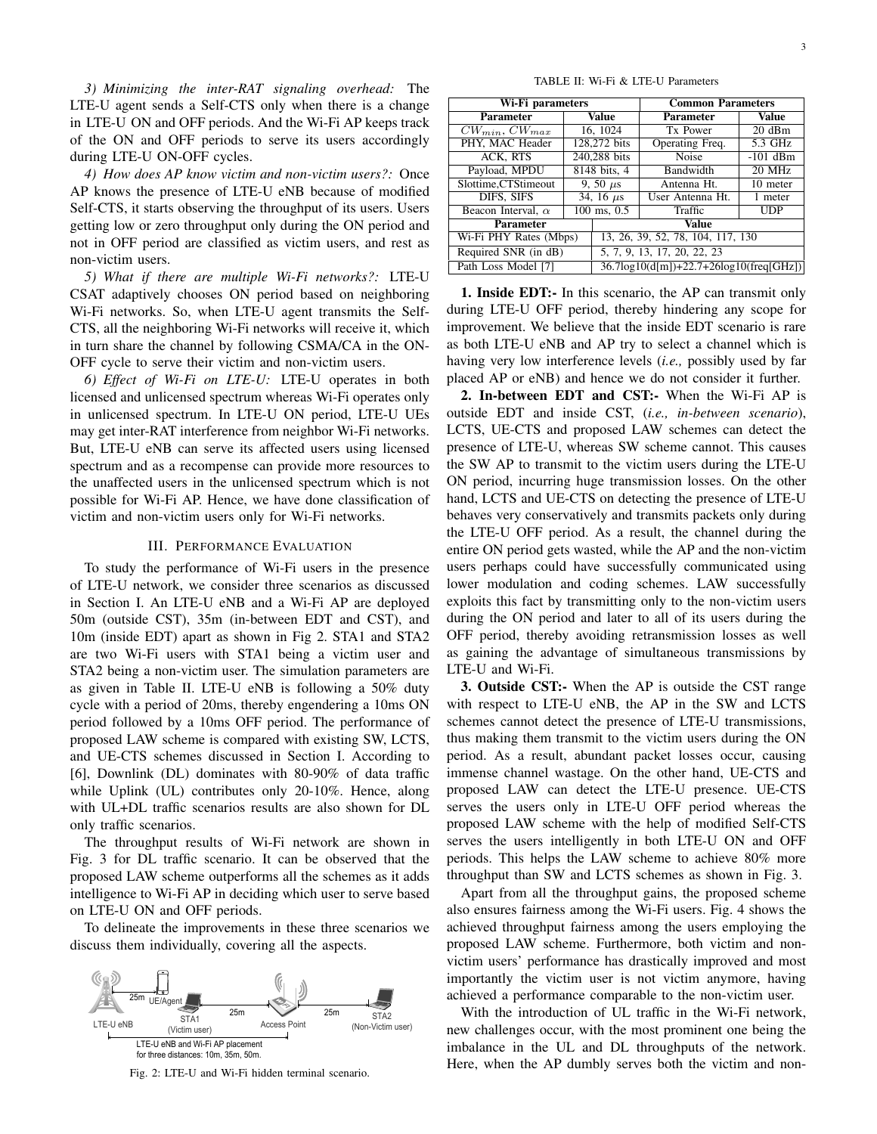*3) Minimizing the inter-RAT signaling overhead:* The LTE-U agent sends a Self-CTS only when there is a change in LTE-U ON and OFF periods. And the Wi-Fi AP keeps track of the ON and OFF periods to serve its users accordingly during LTE-U ON-OFF cycles.

*4) How does AP know victim and non-victim users?:* Once AP knows the presence of LTE-U eNB because of modified Self-CTS, it starts observing the throughput of its users. Users getting low or zero throughput only during the ON period and not in OFF period are classified as victim users, and rest as non-victim users.

*5) What if there are multiple Wi-Fi networks?:* LTE-U CSAT adaptively chooses ON period based on neighboring Wi-Fi networks. So, when LTE-U agent transmits the Self-CTS, all the neighboring Wi-Fi networks will receive it, which in turn share the channel by following CSMA/CA in the ON-OFF cycle to serve their victim and non-victim users.

*6) Effect of Wi-Fi on LTE-U:* LTE-U operates in both licensed and unlicensed spectrum whereas Wi-Fi operates only in unlicensed spectrum. In LTE-U ON period, LTE-U UEs may get inter-RAT interference from neighbor Wi-Fi networks. But, LTE-U eNB can serve its affected users using licensed spectrum and as a recompense can provide more resources to the unaffected users in the unlicensed spectrum which is not possible for Wi-Fi AP. Hence, we have done classification of victim and non-victim users only for Wi-Fi networks.

# III. PERFORMANCE EVALUATION

To study the performance of Wi-Fi users in the presence of LTE-U network, we consider three scenarios as discussed in Section I. An LTE-U eNB and a Wi-Fi AP are deployed 50m (outside CST), 35m (in-between EDT and CST), and 10m (inside EDT) apart as shown in Fig 2. STA1 and STA2 are two Wi-Fi users with STA1 being a victim user and STA2 being a non-victim user. The simulation parameters are as given in Table II. LTE-U eNB is following a 50% duty cycle with a period of 20ms, thereby engendering a 10ms ON period followed by a 10ms OFF period. The performance of proposed LAW scheme is compared with existing SW, LCTS, and UE-CTS schemes discussed in Section I. According to [6], Downlink (DL) dominates with 80-90% of data traffic while Uplink (UL) contributes only 20-10%. Hence, along with UL+DL traffic scenarios results are also shown for DL only traffic scenarios.

The throughput results of Wi-Fi network are shown in Fig. 3 for DL traffic scenario. It can be observed that the proposed LAW scheme outperforms all the schemes as it adds intelligence to Wi-Fi AP in deciding which user to serve based on LTE-U ON and OFF periods.

To delineate the improvements in these three scenarios we discuss them individually, covering all the aspects.



Fig. 2: LTE-U and Wi-Fi hidden terminal scenario.

TABLE II: Wi-Fi & LTE-U Parameters

| Wi-Fi parameters          |                       |                                                   | <b>Common Parameters</b> |              |  |  |
|---------------------------|-----------------------|---------------------------------------------------|--------------------------|--------------|--|--|
| <b>Parameter</b>          | Value                 |                                                   | <b>Parameter</b>         | <b>Value</b> |  |  |
| $CW_{min}$ , $CW_{max}$   | 16, 1024              |                                                   | Tx Power                 | 20dBm        |  |  |
| PHY, MAC Header           | 128,272 bits          |                                                   | Operating Freq.          | 5.3 GHz      |  |  |
| ACK, RTS                  | 240,288 bits          |                                                   | <b>Noise</b>             | $-101$ dBm   |  |  |
| Payload, MPDU             | 8148 bits, 4          |                                                   | Bandwidth                | 20 MHz       |  |  |
| Slottime, CTStimeout      | 9, 50 $\mu$ s         |                                                   | Antenna Ht.              | 10 meter     |  |  |
| DIFS, SIFS                | 34, 16 $\mu$ s        |                                                   | User Antenna Ht.         | 1 meter      |  |  |
| Beacon Interval, $\alpha$ | $100 \text{ ms}, 0.5$ |                                                   | Traffic                  | <b>UDP</b>   |  |  |
| <b>Parameter</b>          |                       | Value                                             |                          |              |  |  |
| Wi-Fi PHY Rates (Mbps)    |                       | 13, 26, 39, 52, 78, 104, 117, 130                 |                          |              |  |  |
| Required SNR (in dB)      |                       | 5, 7, 9, 13, 17, 20, 22, 23                       |                          |              |  |  |
| Path Loss Model [7]       |                       | $36.7\log 10(d[m]) + 22.7 + 26\log 10(freq[GHz])$ |                          |              |  |  |

1. Inside EDT:- In this scenario, the AP can transmit only during LTE-U OFF period, thereby hindering any scope for improvement. We believe that the inside EDT scenario is rare as both LTE-U eNB and AP try to select a channel which is having very low interference levels (*i.e.,* possibly used by far placed AP or eNB) and hence we do not consider it further.

2. In-between EDT and CST:- When the Wi-Fi AP is outside EDT and inside CST, (*i.e., in-between scenario*), LCTS, UE-CTS and proposed LAW schemes can detect the presence of LTE-U, whereas SW scheme cannot. This causes the SW AP to transmit to the victim users during the LTE-U ON period, incurring huge transmission losses. On the other hand, LCTS and UE-CTS on detecting the presence of LTE-U behaves very conservatively and transmits packets only during the LTE-U OFF period. As a result, the channel during the entire ON period gets wasted, while the AP and the non-victim users perhaps could have successfully communicated using lower modulation and coding schemes. LAW successfully exploits this fact by transmitting only to the non-victim users during the ON period and later to all of its users during the OFF period, thereby avoiding retransmission losses as well as gaining the advantage of simultaneous transmissions by LTE-U and Wi-Fi.

3. Outside CST:- When the AP is outside the CST range with respect to LTE-U eNB, the AP in the SW and LCTS schemes cannot detect the presence of LTE-U transmissions, thus making them transmit to the victim users during the ON period. As a result, abundant packet losses occur, causing immense channel wastage. On the other hand, UE-CTS and proposed LAW can detect the LTE-U presence. UE-CTS serves the users only in LTE-U OFF period whereas the proposed LAW scheme with the help of modified Self-CTS serves the users intelligently in both LTE-U ON and OFF periods. This helps the LAW scheme to achieve 80% more throughput than SW and LCTS schemes as shown in Fig. 3.

Apart from all the throughput gains, the proposed scheme also ensures fairness among the Wi-Fi users. Fig. 4 shows the achieved throughput fairness among the users employing the proposed LAW scheme. Furthermore, both victim and nonvictim users' performance has drastically improved and most importantly the victim user is not victim anymore, having achieved a performance comparable to the non-victim user.

With the introduction of UL traffic in the Wi-Fi network, new challenges occur, with the most prominent one being the imbalance in the UL and DL throughputs of the network. Here, when the AP dumbly serves both the victim and non-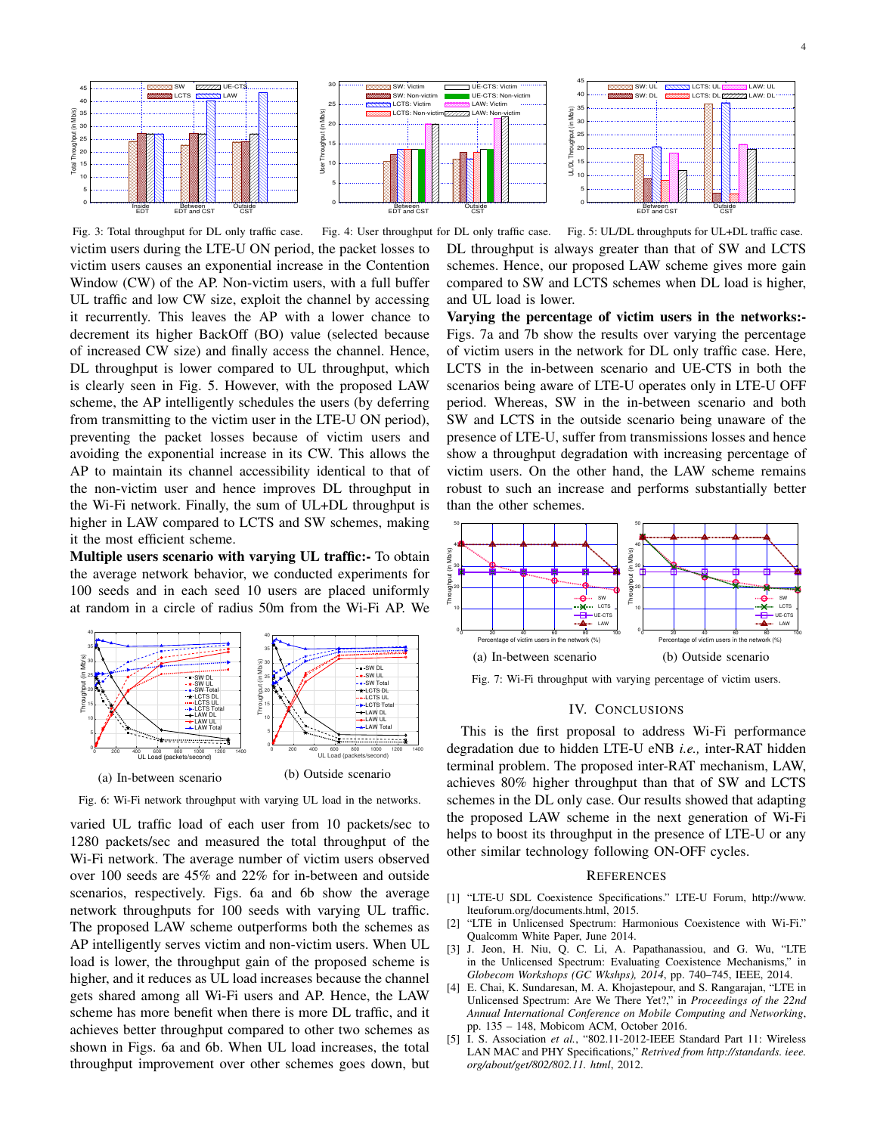

Fig. 3: Total throughput for DL only traffic case. victim users during the LTE-U ON period, the packet losses to victim users causes an exponential increase in the Contention Window (CW) of the AP. Non-victim users, with a full buffer UL traffic and low CW size, exploit the channel by accessing it recurrently. This leaves the AP with a lower chance to decrement its higher BackOff (BO) value (selected because of increased CW size) and finally access the channel. Hence, DL throughput is lower compared to UL throughput, which is clearly seen in Fig. 5. However, with the proposed LAW scheme, the AP intelligently schedules the users (by deferring from transmitting to the victim user in the LTE-U ON period), preventing the packet losses because of victim users and avoiding the exponential increase in its CW. This allows the AP to maintain its channel accessibility identical to that of the non-victim user and hence improves DL throughput in the Wi-Fi network. Finally, the sum of UL+DL throughput is higher in LAW compared to LCTS and SW schemes, making it the most efficient scheme.

Multiple users scenario with varying UL traffic:- To obtain the average network behavior, we conducted experiments for 100 seeds and in each seed 10 users are placed uniformly at random in a circle of radius 50m from the Wi-Fi AP. We



Fig. 6: Wi-Fi network throughput with varying UL load in the networks.

varied UL traffic load of each user from 10 packets/sec to 1280 packets/sec and measured the total throughput of the Wi-Fi network. The average number of victim users observed over 100 seeds are 45% and 22% for in-between and outside scenarios, respectively. Figs. 6a and 6b show the average network throughputs for 100 seeds with varying UL traffic. The proposed LAW scheme outperforms both the schemes as AP intelligently serves victim and non-victim users. When UL load is lower, the throughput gain of the proposed scheme is higher, and it reduces as UL load increases because the channel gets shared among all Wi-Fi users and AP. Hence, the LAW scheme has more benefit when there is more DL traffic, and it achieves better throughput compared to other two schemes as shown in Figs. 6a and 6b. When UL load increases, the total throughput improvement over other schemes goes down, but





Fig. 4: User throughput for DL only traffic case. Fig. 5: UL/DL throughputs for UL+DL traffic case. DL throughput is always greater than that of SW and LCTS schemes. Hence, our proposed LAW scheme gives more gain compared to SW and LCTS schemes when DL load is higher, and UL load is lower.

Varying the percentage of victim users in the networks:- Figs. 7a and 7b show the results over varying the percentage of victim users in the network for DL only traffic case. Here, LCTS in the in-between scenario and UE-CTS in both the scenarios being aware of LTE-U operates only in LTE-U OFF period. Whereas, SW in the in-between scenario and both SW and LCTS in the outside scenario being unaware of the presence of LTE-U, suffer from transmissions losses and hence show a throughput degradation with increasing percentage of victim users. On the other hand, the LAW scheme remains robust to such an increase and performs substantially better than the other schemes.



Fig. 7: Wi-Fi throughput with varying percentage of victim users.

# IV. CONCLUSIONS

This is the first proposal to address Wi-Fi performance degradation due to hidden LTE-U eNB *i.e.,* inter-RAT hidden terminal problem. The proposed inter-RAT mechanism, LAW, achieves 80% higher throughput than that of SW and LCTS schemes in the DL only case. Our results showed that adapting the proposed LAW scheme in the next generation of Wi-Fi helps to boost its throughput in the presence of LTE-U or any other similar technology following ON-OFF cycles.

### **REFERENCES**

- [1] "LTE-U SDL Coexistence Specifications." LTE-U Forum, http://www. lteuforum.org/documents.html, 2015.
- [2] "LTE in Unlicensed Spectrum: Harmonious Coexistence with Wi-Fi." Qualcomm White Paper, June 2014.
- [3] J. Jeon, H. Niu, Q. C. Li, A. Papathanassiou, and G. Wu, "LTE in the Unlicensed Spectrum: Evaluating Coexistence Mechanisms," in *Globecom Workshops (GC Wkshps), 2014*, pp. 740–745, IEEE, 2014.
- [4] E. Chai, K. Sundaresan, M. A. Khojastepour, and S. Rangarajan, "LTE in Unlicensed Spectrum: Are We There Yet?," in *Proceedings of the 22nd Annual International Conference on Mobile Computing and Networking*, pp. 135 – 148, Mobicom ACM, October 2016.
- [5] I. S. Association *et al.*, "802.11-2012-IEEE Standard Part 11: Wireless LAN MAC and PHY Specifications," *Retrived from http://standards. ieee. org/about/get/802/802.11. html*, 2012.